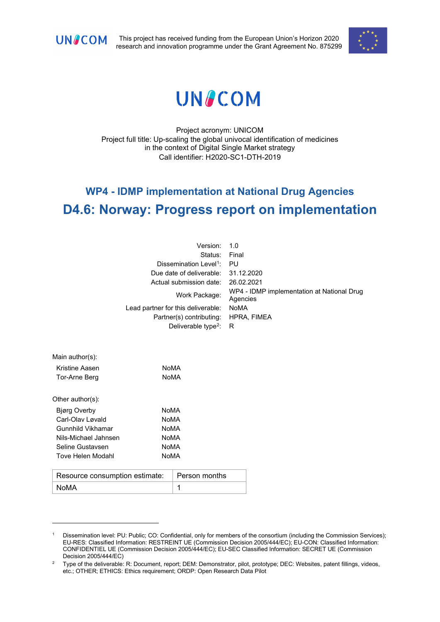

This project has received funding from the European Union's Horizon 2020 research and innovation programme under the Grant Agreement No. 875299



# **UNACOM**

Project acronym: UNICOM Project full title: Up-scaling the global univocal identification of medicines in the context of Digital Single Market strategy Call identifier: H2020-SC1-DTH-2019

## **WP4 - IDMP implementation at National Drug Agencies D4.6: Norway: Progress report on implementation**

|                          | Version:                           | 1.0                                                    |
|--------------------------|------------------------------------|--------------------------------------------------------|
|                          | Status:                            | Final                                                  |
|                          | Dissemination Level <sup>1</sup> : | PU                                                     |
|                          | Due date of deliverable:           | 31.12.2020                                             |
|                          | Actual submission date:            | 26.02.2021                                             |
|                          | Work Package:                      | WP4 - IDMP implementation at National Drug<br>Agencies |
|                          | Lead partner for this deliverable: | <b>NoMA</b>                                            |
|                          | Partner(s) contributing:           | HPRA, FIMEA                                            |
|                          | Deliverable type <sup>2</sup> :    | R                                                      |
|                          |                                    |                                                        |
| Main author(s):          |                                    |                                                        |
| Kristine Aasen           | <b>NoMA</b>                        |                                                        |
| Tor-Arne Berg            | <b>NoMA</b>                        |                                                        |
| Other author(s):         |                                    |                                                        |
| <b>Bjørg Overby</b>      | <b>NoMA</b>                        |                                                        |
| Carl-Olav Løvald         | <b>NoMA</b>                        |                                                        |
| <b>Gunnhild Vikhamar</b> | <b>NoMA</b>                        |                                                        |
| Nils-Michael Jahnsen     | <b>NoMA</b>                        |                                                        |
| Seline Gustavsen         | <b>NoMA</b>                        |                                                        |
| Tove Helen Modahl        | <b>NoMA</b>                        |                                                        |
|                          |                                    |                                                        |

| Resource consumption estimate:   Person months |  |  |
|------------------------------------------------|--|--|
| NoMA                                           |  |  |

<span id="page-0-0"></span><sup>1</sup> Dissemination level: PU: Public; CO: Confidential, only for members of the consortium (including the Commission Services); EU-RES: Classified Information: RESTREINT UE (Commission Decision 2005/444/EC); EU-CON: Classified Information: CONFIDENTIEL UE (Commission Decision 2005/444/EC); EU-SEC Classified Information: SECRET UE (Commission Decision 2005/444/EC)

<span id="page-0-1"></span><sup>&</sup>lt;sup>2</sup> Type of the deliverable: R: Document, report; DEM: Demonstrator, pilot, prototype; DEC: Websites, patent fillings, videos, etc.; OTHER; ETHICS: Ethics requirement; ORDP: Open Research Data Pilot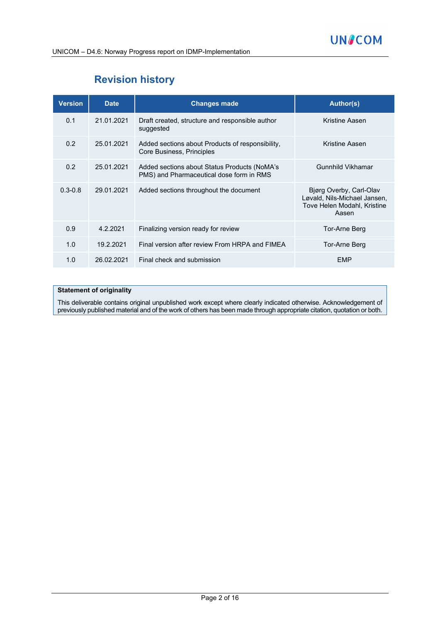## **Revision history**

| <b>Version</b> | <b>Date</b> | <b>Changes made</b>                                                                      | <b>Author(s)</b>                                                                                |
|----------------|-------------|------------------------------------------------------------------------------------------|-------------------------------------------------------------------------------------------------|
| 0.1            | 21.01.2021  | Draft created, structure and responsible author<br>suggested                             | Kristine Aasen                                                                                  |
| 0.2            | 25.01.2021  | Added sections about Products of responsibility,<br>Core Business, Principles            | Kristine Aasen                                                                                  |
| 0.2            | 25.01.2021  | Added sections about Status Products (NoMA's<br>PMS) and Pharmaceutical dose form in RMS | Gunnhild Vikhamar                                                                               |
| $0.3 - 0.8$    | 29.01.2021  | Added sections throughout the document                                                   | Bjørg Overby, Carl-Olav<br>Løvald, Nils-Michael Jansen,<br>Tove Helen Modahl, Kristine<br>Aasen |
| 0.9            | 4.2.2021    | Finalizing version ready for review                                                      | Tor-Arne Berg                                                                                   |
| 1.0            | 19.2.2021   | Final version after review From HRPA and FIMEA                                           | Tor-Arne Berg                                                                                   |
| 1.0            | 26.02.2021  | Final check and submission                                                               | <b>EMP</b>                                                                                      |

### **Statement of originality**

This deliverable contains original unpublished work except where clearly indicated otherwise. Acknowledgement of previously published material and of the work of others has been made through appropriate citation, quotation or both.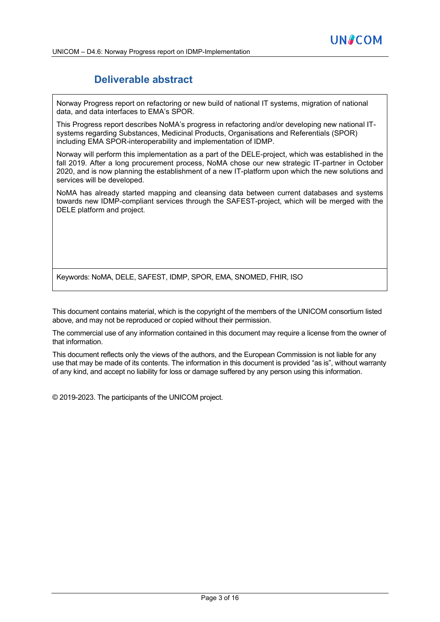## **Deliverable abstract**

Norway Progress report on refactoring or new build of national IT systems, migration of national data, and data interfaces to EMA's SPOR.

This Progress report describes NoMA's progress in refactoring and/or developing new national ITsystems regarding Substances, Medicinal Products, Organisations and Referentials (SPOR) including EMA SPOR-interoperability and implementation of IDMP.

Norway will perform this implementation as a part of the DELE-project, which was established in the fall 2019. After a long procurement process, NoMA chose our new strategic IT-partner in October 2020, and is now planning the establishment of a new IT-platform upon which the new solutions and services will be developed.

NoMA has already started mapping and cleansing data between current databases and systems towards new IDMP-compliant services through the SAFEST-project, which will be merged with the DELE platform and project.

Keywords: NoMA, DELE, SAFEST, IDMP, SPOR, EMA, SNOMED, FHIR, ISO

This document contains material, which is the copyright of the members of the UNICOM consortium listed above, and may not be reproduced or copied without their permission.

The commercial use of any information contained in this document may require a license from the owner of that information.

This document reflects only the views of the authors, and the European Commission is not liable for any use that may be made of its contents. The information in this document is provided "as is", without warranty of any kind, and accept no liability for loss or damage suffered by any person using this information.

© 2019-2023. The participants of the UNICOM project.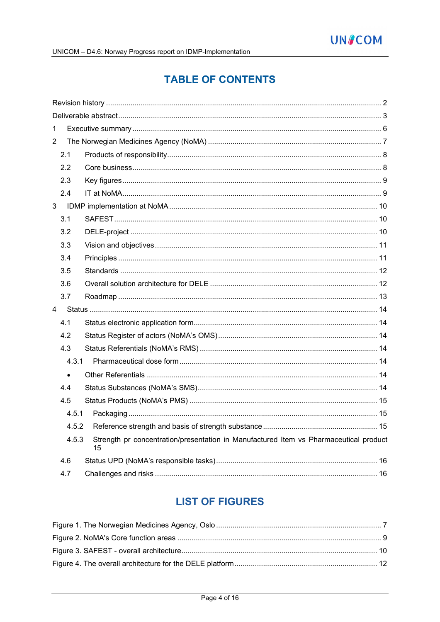## **TABLE OF CONTENTS**

| 1              |           |                                                                                       |  |  |
|----------------|-----------|---------------------------------------------------------------------------------------|--|--|
| $\overline{2}$ |           |                                                                                       |  |  |
|                | 2.1       |                                                                                       |  |  |
|                | 2.2       |                                                                                       |  |  |
|                | 2.3       |                                                                                       |  |  |
|                | 2.4       |                                                                                       |  |  |
| 3              |           |                                                                                       |  |  |
|                | 3.1       |                                                                                       |  |  |
|                | 3.2       |                                                                                       |  |  |
|                | 3.3       |                                                                                       |  |  |
|                | 3.4       |                                                                                       |  |  |
|                | 3.5       |                                                                                       |  |  |
|                | 3.6       |                                                                                       |  |  |
|                | 3.7       |                                                                                       |  |  |
| 4              |           |                                                                                       |  |  |
|                | 4.1       |                                                                                       |  |  |
|                | 4.2       |                                                                                       |  |  |
|                | 4.3       |                                                                                       |  |  |
|                | 4.3.1     |                                                                                       |  |  |
|                | $\bullet$ |                                                                                       |  |  |
|                | 4.4       |                                                                                       |  |  |
|                | 4.5       |                                                                                       |  |  |
|                | 4.5.1     |                                                                                       |  |  |
|                | 4.5.2     |                                                                                       |  |  |
| 4.5.3<br>15    |           | Strength pr concentration/presentation in Manufactured Item vs Pharmaceutical product |  |  |
|                | 4.6       |                                                                                       |  |  |
|                | 4.7       |                                                                                       |  |  |

## **LIST OF FIGURES**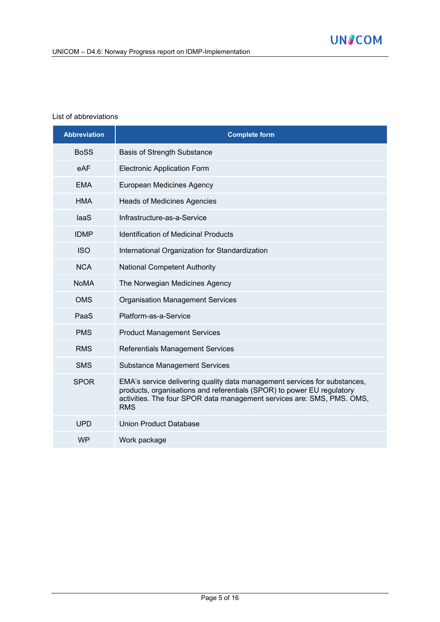### List of abbreviations

| <b>Abbreviation</b> | <b>Complete form</b>                                                                                                                                                                                                                        |
|---------------------|---------------------------------------------------------------------------------------------------------------------------------------------------------------------------------------------------------------------------------------------|
| <b>BoSS</b>         | <b>Basis of Strength Substance</b>                                                                                                                                                                                                          |
| eAF                 | <b>Electronic Application Form</b>                                                                                                                                                                                                          |
| <b>EMA</b>          | European Medicines Agency                                                                                                                                                                                                                   |
| <b>HMA</b>          | <b>Heads of Medicines Agencies</b>                                                                                                                                                                                                          |
| laaS                | Infrastructure-as-a-Service                                                                                                                                                                                                                 |
| <b>IDMP</b>         | <b>Identification of Medicinal Products</b>                                                                                                                                                                                                 |
| <b>ISO</b>          | International Organization for Standardization                                                                                                                                                                                              |
| <b>NCA</b>          | <b>National Competent Authority</b>                                                                                                                                                                                                         |
| <b>NoMA</b>         | The Norwegian Medicines Agency                                                                                                                                                                                                              |
| <b>OMS</b>          | <b>Organisation Management Services</b>                                                                                                                                                                                                     |
| PaaS                | Platform-as-a-Service                                                                                                                                                                                                                       |
| <b>PMS</b>          | <b>Product Management Services</b>                                                                                                                                                                                                          |
| <b>RMS</b>          | <b>Referentials Management Services</b>                                                                                                                                                                                                     |
| <b>SMS</b>          | <b>Substance Management Services</b>                                                                                                                                                                                                        |
| <b>SPOR</b>         | EMA's service delivering quality data management services for substances,<br>products, organisations and referentials (SPOR) to power EU regulatory<br>activities. The four SPOR data management services are: SMS, PMS. OMS,<br><b>RMS</b> |
| <b>UPD</b>          | <b>Union Product Database</b>                                                                                                                                                                                                               |
| <b>WP</b>           | Work package                                                                                                                                                                                                                                |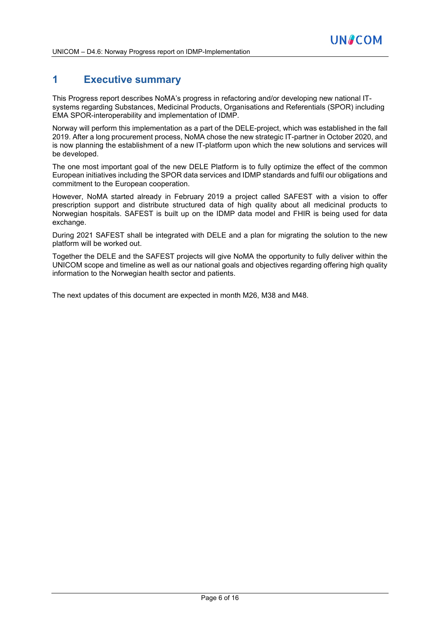## **1 Executive summary**

This Progress report describes NoMA's progress in refactoring and/or developing new national ITsystems regarding Substances, Medicinal Products, Organisations and Referentials (SPOR) including EMA SPOR-interoperability and implementation of IDMP.

Norway will perform this implementation as a part of the DELE-project, which was established in the fall 2019. After a long procurement process, NoMA chose the new strategic IT-partner in October 2020, and is now planning the establishment of a new IT-platform upon which the new solutions and services will be developed.

The one most important goal of the new DELE Platform is to fully optimize the effect of the common European initiatives including the SPOR data services and IDMP standards and fulfil our obligations and commitment to the European cooperation.

However, NoMA started already in February 2019 a project called SAFEST with a vision to offer prescription support and distribute structured data of high quality about all medicinal products to Norwegian hospitals. SAFEST is built up on the IDMP data model and FHIR is being used for data exchange.

During 2021 SAFEST shall be integrated with DELE and a plan for migrating the solution to the new platform will be worked out.

Together the DELE and the SAFEST projects will give NoMA the opportunity to fully deliver within the UNICOM scope and timeline as well as our national goals and objectives regarding offering high quality information to the Norwegian health sector and patients.

The next updates of this document are expected in month M26, M38 and M48.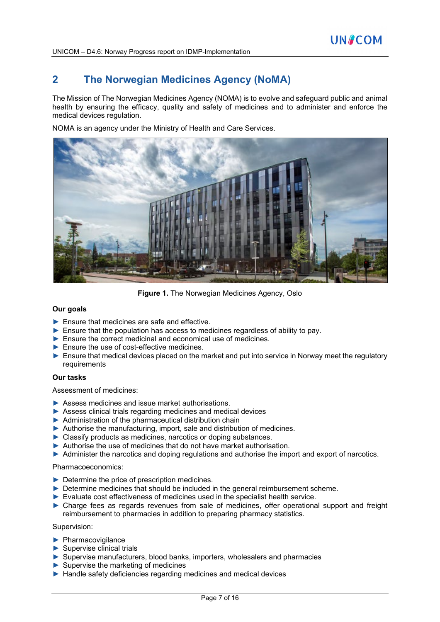## **2 The Norwegian Medicines Agency (NoMA)**

The Mission of The Norwegian Medicines Agency (NOMA) is to evolve and safeguard public and animal health by ensuring the efficacy, quality and safety of medicines and to administer and enforce the medical devices regulation.

NOMA is an agency under the Ministry of Health and Care Services.



**Figure 1.** The Norwegian Medicines Agency, Oslo

#### **Our goals**

- ► Ensure that medicines are safe and effective.
- ► Ensure that the population has access to medicines regardless of ability to pay.
- ► Ensure the correct medicinal and economical use of medicines.
- ► Ensure the use of cost-effective medicines.
- ► Ensure that medical devices placed on the market and put into service in Norway meet the regulatory requirements

#### **Our tasks**

Assessment of medicines:

- ► Assess medicines and issue market authorisations.
- ► Assess clinical trials regarding medicines and medical devices
- ► Administration of the pharmaceutical distribution chain
- ► Authorise the manufacturing, import, sale and distribution of medicines.
- ► Classify products as medicines, narcotics or doping substances.
- ► Authorise the use of medicines that do not have market authorisation.
- ► Administer the narcotics and doping regulations and authorise the import and export of narcotics.

Pharmacoeconomics:

- ► Determine the price of prescription medicines.
- ► Determine medicines that should be included in the general reimbursement scheme.
- ► Evaluate cost effectiveness of medicines used in the specialist health service.
- ► Charge fees as regards revenues from sale of medicines, offer operational support and freight reimbursement to pharmacies in addition to preparing pharmacy statistics.

Supervision:

- ► Pharmacovigilance
- $\blacktriangleright$  Supervise clinical trials
- ► Supervise manufacturers, blood banks, importers, wholesalers and pharmacies
- ► Supervise the marketing of medicines
- ► Handle safety deficiencies regarding medicines and medical devices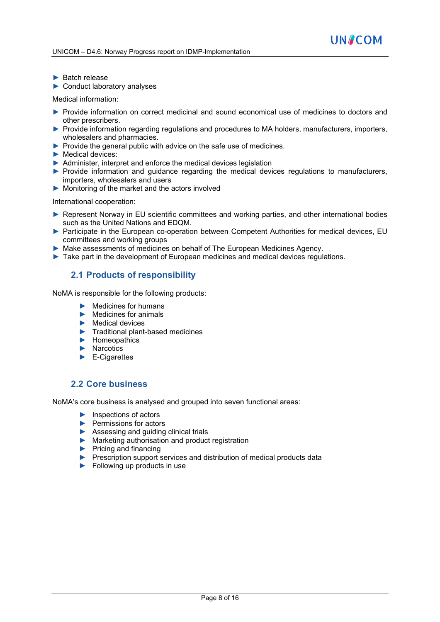- ► Batch release
- ► Conduct laboratory analyses

Medical information:

- ► Provide information on correct medicinal and sound economical use of medicines to doctors and other prescribers.
- ► Provide information regarding regulations and procedures to MA holders, manufacturers, importers, wholesalers and pharmacies.
- ► Provide the general public with advice on the safe use of medicines.
- ► Medical devices:
- ▶ Administer, interpret and enforce the medical devices legislation
- ► Provide information and guidance regarding the medical devices regulations to manufacturers, importers, wholesalers and users
- ► Monitoring of the market and the actors involved

International cooperation:

- ► Represent Norway in EU scientific committees and working parties, and other international bodies such as the United Nations and EDQM.
- ► Participate in the European co-operation between Competent Authorities for medical devices, EU committees and working groups
- ► Make assessments of medicines on behalf of The European Medicines Agency.
- $\blacktriangleright$  Take part in the development of European medicines and medical devices regulations.

## **2.1 Products of responsibility**

NoMA is responsible for the following products:

- ► Medicines for humans
- $\blacktriangleright$  Medicines for animals
- ► Medical devices
- ► Traditional plant-based medicines
- ► Homeopathics
- ► Narcotics
- ► E-Cigarettes

## **2.2 Core business**

NoMA's core business is analysed and grouped into seven functional areas:

- ► Inspections of actors
- ► Permissions for actors
- ► Assessing and guiding clinical trials
- ► Marketing authorisation and product registration
- $\blacktriangleright$  Pricing and financing
- ► Prescription support services and distribution of medical products data
- $\blacktriangleright$  Following up products in use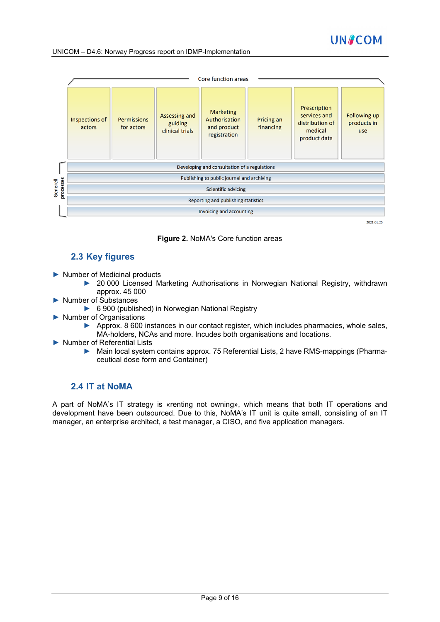#### UNICOM – D4.6: Norway Progress report on IDMP-Implementation



2021.01.25

**Figure 2.** NoMA's Core function areas

## **2.3 Key figures**

- ► Number of Medicinal products
	- ▶ 20 000 Licensed Marketing Authorisations in Norwegian National Registry, withdrawn approx. 45 000
- ► Number of Substances
	- ► 6 900 (published) in Norwegian National Registry
- ► Number of Organisations
	- ► Approx. 8 600 instances in our contact register, which includes pharmacies, whole sales, MA-holders, NCAs and more. Incudes both organisations and locations.
- ► Number of Referential Lists
	- ► Main local system contains approx. 75 Referential Lists, 2 have RMS-mappings (Pharmaceutical dose form and Container)

## **2.4 IT at NoMA**

A part of NoMA's IT strategy is «renting not owning», which means that both IT operations and development have been outsourced. Due to this, NoMA's IT unit is quite small, consisting of an IT manager, an enterprise architect, a test manager, a CISO, and five application managers.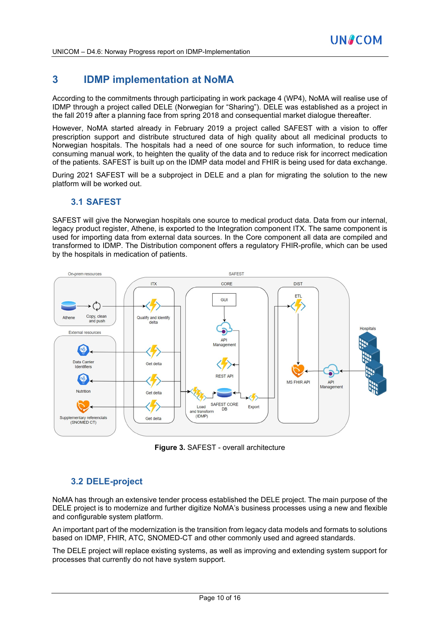## **3 IDMP implementation at NoMA**

According to the commitments through participating in work package 4 (WP4), NoMA will realise use of IDMP through a project called DELE (Norwegian for "Sharing"). DELE was established as a project in the fall 2019 after a planning face from spring 2018 and consequential market dialogue thereafter.

However, NoMA started already in February 2019 a project called SAFEST with a vision to offer prescription support and distribute structured data of high quality about all medicinal products to Norwegian hospitals. The hospitals had a need of one source for such information, to reduce time consuming manual work, to heighten the quality of the data and to reduce risk for incorrect medication of the patients. SAFEST is built up on the IDMP data model and FHIR is being used for data exchange.

During 2021 SAFEST will be a subproject in DELE and a plan for migrating the solution to the new platform will be worked out.

## **3.1 SAFEST**

SAFEST will give the Norwegian hospitals one source to medical product data. Data from our internal, legacy product register, Athene, is exported to the Integration component ITX. The same component is used for importing data from external data sources. In the Core component all data are compiled and transformed to IDMP. The Distribution component offers a regulatory FHIR-profile, which can be used by the hospitals in medication of patients.



**Figure 3.** SAFEST - overall architecture

## **3.2 DELE-project**

NoMA has through an extensive tender process established the DELE project. The main purpose of the DELE project is to modernize and further digitize NoMA's business processes using a new and flexible and configurable system platform.

An important part of the modernization is the transition from legacy data models and formats to solutions based on IDMP, FHIR, ATC, SNOMED-CT and other commonly used and agreed standards.

The DELE project will replace existing systems, as well as improving and extending system support for processes that currently do not have system support.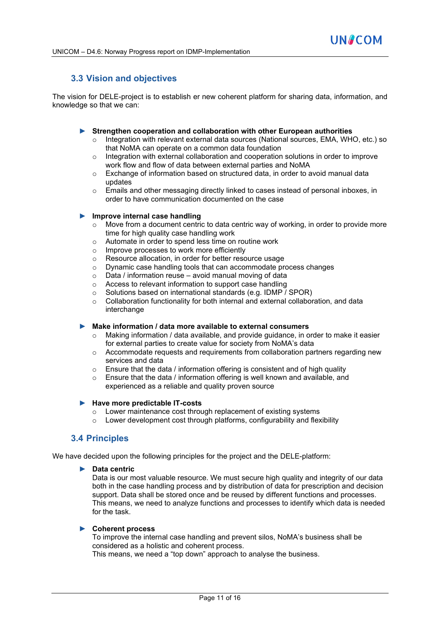## **3.3 Vision and objectives**

The vision for DELE-project is to establish er new coherent platform for sharing data, information, and knowledge so that we can:

- ► **Strengthen cooperation and collaboration with other European authorities**
	- Integration with relevant external data sources (National sources, EMA, WHO, etc.) so that NoMA can operate on a common data foundation
	- o Integration with external collaboration and cooperation solutions in order to improve work flow and flow of data between external parties and NoMA
	- o Exchange of information based on structured data, in order to avoid manual data updates
	- $\circ$  Emails and other messaging directly linked to cases instead of personal inboxes, in order to have communication documented on the case

#### ► **Improve internal case handling**

- $\circ$  Move from a document centric to data centric way of working, in order to provide more time for high quality case handling work
- o Automate in order to spend less time on routine work
- $\circ$  Improve processes to work more efficiently<br> $\circ$  Resource allocation in order for better reso
- Resource allocation, in order for better resource usage
- $\circ$  Dynamic case handling tools that can accommodate process changes  $\circ$  Data *l* information reuse avoid manual moving of data
- Data / information reuse avoid manual moving of data
- o Access to relevant information to support case handling
- $\circ$  Solutions based on international standards (e.g. IDMP / SPOR)<br> $\circ$  Collaboration functionality for both internal and external collabor
- Collaboration functionality for both internal and external collaboration, and data interchange

#### ► **Make information / data more available to external consumers**

- o Making information / data available, and provide guidance, in order to make it easier for external parties to create value for society from NoMA's data
- $\circ$  Accommodate requests and requirements from collaboration partners regarding new services and data
- $\circ$  Ensure that the data / information offering is consistent and of high quality  $\circ$  Fnsure that the data / information offering is well known and available and
- Ensure that the data / information offering is well known and available, and experienced as a reliable and quality proven source

#### ► **Have more predictable IT-costs**

- o Lower maintenance cost through replacement of existing systems
- o Lower development cost through platforms, configurability and flexibility

#### **3.4 Principles**

We have decided upon the following principles for the project and the DELE-platform:

#### ► **Data centric**

Data is our most valuable resource. We must secure high quality and integrity of our data both in the case handling process and by distribution of data for prescription and decision support. Data shall be stored once and be reused by different functions and processes. This means, we need to analyze functions and processes to identify which data is needed for the task.

#### ► **Coherent process**

To improve the internal case handling and prevent silos, NoMA's business shall be considered as a holistic and coherent process.

This means, we need a "top down" approach to analyse the business.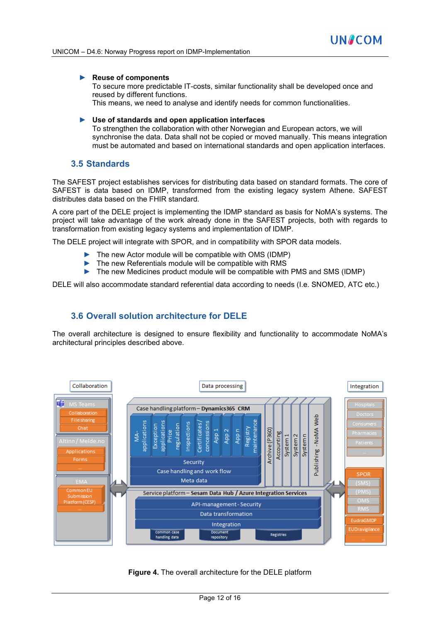#### ► **Reuse of components**

To secure more predictable IT-costs, similar functionality shall be developed once and reused by different functions. This means, we need to analyse and identify needs for common functionalities.

#### ► **Use of standards and open application interfaces**

To strengthen the collaboration with other Norwegian and European actors, we will synchronise the data. Data shall not be copied or moved manually. This means integration must be automated and based on international standards and open application interfaces.

### **3.5 Standards**

The SAFEST project establishes services for distributing data based on standard formats. The core of SAFEST is data based on IDMP, transformed from the existing legacy system Athene. SAFEST distributes data based on the FHIR standard.

A core part of the DELE project is implementing the IDMP standard as basis for NoMA's systems. The project will take advantage of the work already done in the SAFEST projects, both with regards to transformation from existing legacy systems and implementation of IDMP.

The DELE project will integrate with SPOR, and in compatibility with SPOR data models.

- The new Actor module will be compatible with OMS (IDMP)
- The new Referentials module will be compatible with RMS
- ► The new Medicines product module will be compatible with PMS and SMS (IDMP)

DELE will also accommodate standard referential data according to needs (I.e. SNOMED, ATC etc.)

## **3.6 Overall solution architecture for DELE**

The overall architecture is designed to ensure flexibility and functionality to accommodate NoMA's architectural principles described above.



**Figure 4.** The overall architecture for the DELE platform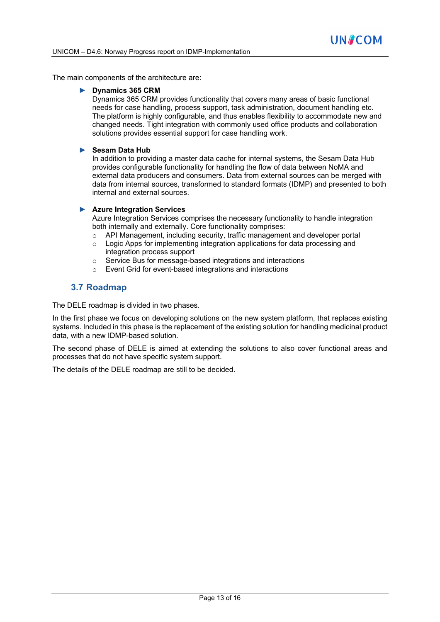The main components of the architecture are:

#### ► **Dynamics 365 CRM**

Dynamics 365 CRM provides functionality that covers many areas of basic functional needs for case handling, process support, task administration, document handling etc. The platform is highly configurable, and thus enables flexibility to accommodate new and changed needs. Tight integration with commonly used office products and collaboration solutions provides essential support for case handling work.

#### ► **Sesam Data Hub**

In addition to providing a master data cache for internal systems, the Sesam Data Hub provides configurable functionality for handling the flow of data between NoMA and external data producers and consumers. Data from external sources can be merged with data from internal sources, transformed to standard formats (IDMP) and presented to both internal and external sources.

#### ► **Azure Integration Services**

Azure Integration Services comprises the necessary functionality to handle integration both internally and externally. Core functionality comprises:

- o API Management, including security, traffic management and developer portal<br>collections for implementing integration applications for data processing and
- Logic Apps for implementing integration applications for data processing and integration process support
- $\circ$  Service Bus for message-based integrations and interactions  $\circ$  Event Grid for event-based integrations and interactions
- Event Grid for event-based integrations and interactions

## **3.7 Roadmap**

The DELE roadmap is divided in two phases.

In the first phase we focus on developing solutions on the new system platform, that replaces existing systems. Included in this phase is the replacement of the existing solution for handling medicinal product data, with a new IDMP-based solution.

The second phase of DELE is aimed at extending the solutions to also cover functional areas and processes that do not have specific system support.

The details of the DELE roadmap are still to be decided.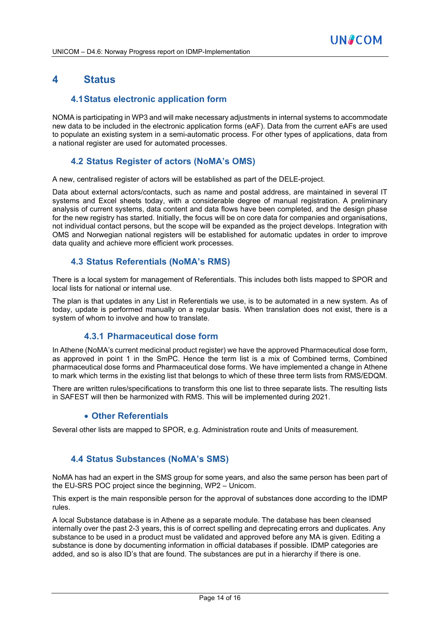## **4 Status**

## **4.1Status electronic application form**

NOMA is participating in WP3 and will make necessary adjustments in internal systems to accommodate new data to be included in the electronic application forms (eAF). Data from the current eAFs are used to populate an existing system in a semi-automatic process. For other types of applications, data from a national register are used for automated processes.

## **4.2 Status Register of actors (NoMA's OMS)**

A new, centralised register of actors will be established as part of the DELE-project.

Data about external actors/contacts, such as name and postal address, are maintained in several IT systems and Excel sheets today, with a considerable degree of manual registration. A preliminary analysis of current systems, data content and data flows have been completed, and the design phase for the new registry has started. Initially, the focus will be on core data for companies and organisations, not individual contact persons, but the scope will be expanded as the project develops. Integration with OMS and Norwegian national registers will be established for automatic updates in order to improve data quality and achieve more efficient work processes.

## **4.3 Status Referentials (NoMA's RMS)**

There is a local system for management of Referentials. This includes both lists mapped to SPOR and local lists for national or internal use.

The plan is that updates in any List in Referentials we use, is to be automated in a new system. As of today, update is performed manually on a regular basis. When translation does not exist, there is a system of whom to involve and how to translate.

## **4.3.1 Pharmaceutical dose form**

In Athene (NoMA's current medicinal product register) we have the approved Pharmaceutical dose form, as approved in point 1 in the SmPC. Hence the term list is a mix of Combined terms, Combined pharmaceutical dose forms and Pharmaceutical dose forms. We have implemented a change in Athene to mark which terms in the existing list that belongs to which of these three term lists from RMS/EDQM.

There are written rules/specifications to transform this one list to three separate lists. The resulting lists in SAFEST will then be harmonized with RMS. This will be implemented during 2021.

## • **Other Referentials**

Several other lists are mapped to SPOR, e.g. Administration route and Units of measurement.

## **4.4 Status Substances (NoMA's SMS)**

NoMA has had an expert in the SMS group for some years, and also the same person has been part of the EU-SRS POC project since the beginning, WP2 – Unicom.

This expert is the main responsible person for the approval of substances done according to the IDMP rules.

A local Substance database is in Athene as a separate module. The database has been cleansed internally over the past 2-3 years, this is of correct spelling and deprecating errors and duplicates. Any substance to be used in a product must be validated and approved before any MA is given. Editing a substance is done by documenting information in official databases if possible. IDMP categories are added, and so is also ID's that are found. The substances are put in a hierarchy if there is one.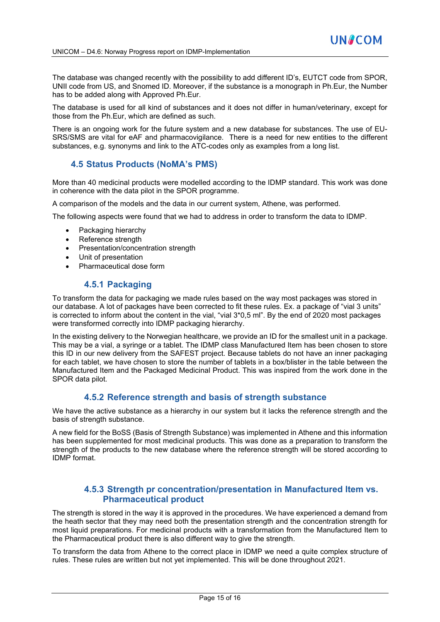The database was changed recently with the possibility to add different ID's, EUTCT code from SPOR, UNII code from US, and Snomed ID. Moreover, if the substance is a monograph in Ph.Eur, the Number has to be added along with Approved Ph.Eur.

The database is used for all kind of substances and it does not differ in human/veterinary, except for those from the Ph.Eur, which are defined as such.

There is an ongoing work for the future system and a new database for substances. The use of EU-SRS/SMS are vital for eAF and pharmacovigilance. There is a need for new entities to the different substances, e.g. synonyms and link to the ATC-codes only as examples from a long list.

## **4.5 Status Products (NoMA's PMS)**

More than 40 medicinal products were modelled according to the IDMP standard. This work was done in coherence with the data pilot in the SPOR programme.

A comparison of the models and the data in our current system, Athene, was performed.

The following aspects were found that we had to address in order to transform the data to IDMP.

- Packaging hierarchy
- Reference strength
- Presentation/concentration strength
- Unit of presentation
- Pharmaceutical dose form

## **4.5.1 Packaging**

To transform the data for packaging we made rules based on the way most packages was stored in our database. A lot of packages have been corrected to fit these rules. Ex. a package of "vial 3 units" is corrected to inform about the content in the vial, "vial 3\*0,5 ml". By the end of 2020 most packages were transformed correctly into IDMP packaging hierarchy.

In the existing delivery to the Norwegian healthcare, we provide an ID for the smallest unit in a package. This may be a vial, a syringe or a tablet. The IDMP class Manufactured Item has been chosen to store this ID in our new delivery from the SAFEST project. Because tablets do not have an inner packaging for each tablet, we have chosen to store the number of tablets in a box/blister in the table between the Manufactured Item and the Packaged Medicinal Product. This was inspired from the work done in the SPOR data pilot.

## **4.5.2 Reference strength and basis of strength substance**

We have the active substance as a hierarchy in our system but it lacks the reference strength and the basis of strength substance.

A new field for the BoSS (Basis of Strength Substance) was implemented in Athene and this information has been supplemented for most medicinal products. This was done as a preparation to transform the strength of the products to the new database where the reference strength will be stored according to IDMP format.

## **4.5.3 Strength pr concentration/presentation in Manufactured Item vs. Pharmaceutical product**

The strength is stored in the way it is approved in the procedures. We have experienced a demand from the heath sector that they may need both the presentation strength and the concentration strength for most liquid preparations. For medicinal products with a transformation from the Manufactured Item to the Pharmaceutical product there is also different way to give the strength.

To transform the data from Athene to the correct place in IDMP we need a quite complex structure of rules. These rules are written but not yet implemented. This will be done throughout 2021.